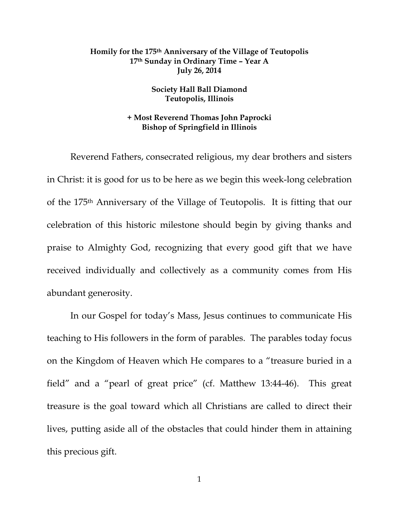## **Homily for the 175th Anniversary of the Village of Teutopolis 17th Sunday in Ordinary Time – Year A July 26, 2014**

## **Society Hall Ball Diamond Teutopolis, Illinois**

## **+ Most Reverend Thomas John Paprocki Bishop of Springfield in Illinois**

 Reverend Fathers, consecrated religious, my dear brothers and sisters in Christ: it is good for us to be here as we begin this week-long celebration of the 175th Anniversary of the Village of Teutopolis. It is fitting that our celebration of this historic milestone should begin by giving thanks and praise to Almighty God, recognizing that every good gift that we have received individually and collectively as a community comes from His abundant generosity.

 In our Gospel for today's Mass, Jesus continues to communicate His teaching to His followers in the form of parables. The parables today focus on the Kingdom of Heaven which He compares to a "treasure buried in a field" and a "pearl of great price" (cf. Matthew 13:44-46). This great treasure is the goal toward which all Christians are called to direct their lives, putting aside all of the obstacles that could hinder them in attaining this precious gift.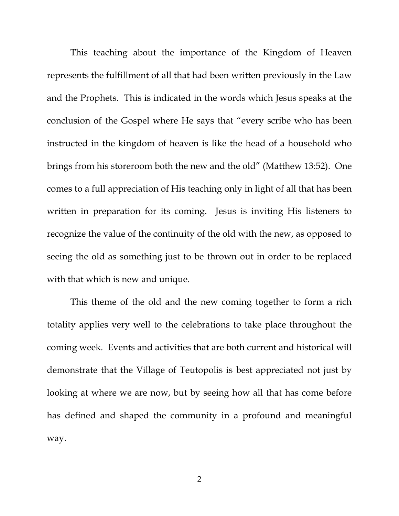This teaching about the importance of the Kingdom of Heaven represents the fulfillment of all that had been written previously in the Law and the Prophets. This is indicated in the words which Jesus speaks at the conclusion of the Gospel where He says that "every scribe who has been instructed in the kingdom of heaven is like the head of a household who brings from his storeroom both the new and the old" (Matthew 13:52). One comes to a full appreciation of His teaching only in light of all that has been written in preparation for its coming. Jesus is inviting His listeners to recognize the value of the continuity of the old with the new, as opposed to seeing the old as something just to be thrown out in order to be replaced with that which is new and unique.

 This theme of the old and the new coming together to form a rich totality applies very well to the celebrations to take place throughout the coming week. Events and activities that are both current and historical will demonstrate that the Village of Teutopolis is best appreciated not just by looking at where we are now, but by seeing how all that has come before has defined and shaped the community in a profound and meaningful way.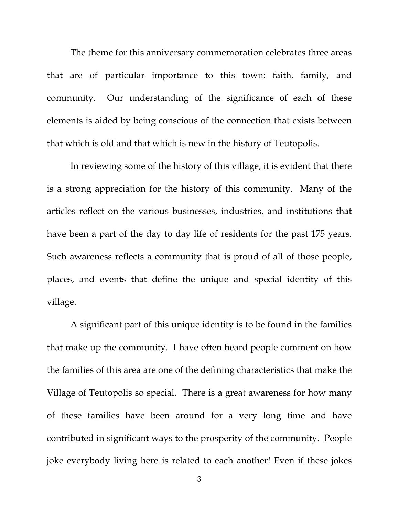The theme for this anniversary commemoration celebrates three areas that are of particular importance to this town: faith, family, and community. Our understanding of the significance of each of these elements is aided by being conscious of the connection that exists between that which is old and that which is new in the history of Teutopolis.

 In reviewing some of the history of this village, it is evident that there is a strong appreciation for the history of this community. Many of the articles reflect on the various businesses, industries, and institutions that have been a part of the day to day life of residents for the past 175 years. Such awareness reflects a community that is proud of all of those people, places, and events that define the unique and special identity of this village.

 A significant part of this unique identity is to be found in the families that make up the community. I have often heard people comment on how the families of this area are one of the defining characteristics that make the Village of Teutopolis so special. There is a great awareness for how many of these families have been around for a very long time and have contributed in significant ways to the prosperity of the community. People joke everybody living here is related to each another! Even if these jokes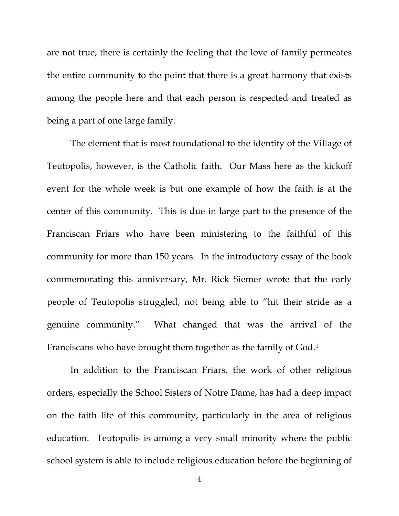are not true, there is certainly the feeling that the love of family permeates the entire community to the point that there is a great harmony that exists among the people here and that each person is respected and treated as being a part of one large family.

 The element that is most foundational to the identity of the Village of Teutopolis, however, is the Catholic faith. Our Mass here as the kickoff event for the whole week is but one example of how the faith is at the center of this community. This is due in large part to the presence of the Franciscan Friars who have been ministering to the faithful of this community for more than 150 years. In the introductory essay of the book commemorating this anniversary, Mr. Rick Siemer wrote that the early people of Teutopolis struggled, not being able to "hit their stride as a genuine community." What changed that was the arrival of the Franciscans who have brought them together as the family of God.1

 In addition to the Franciscan Friars, the work of other religious orders, especially the School Sisters of Notre Dame, has had a deep impact on the faith life of this community, particularly in the area of religious education. Teutopolis is among a very small minority where the public school system is able to include religious education before the beginning of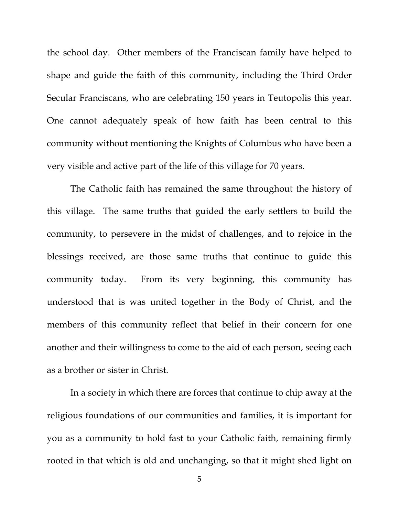the school day. Other members of the Franciscan family have helped to shape and guide the faith of this community, including the Third Order Secular Franciscans, who are celebrating 150 years in Teutopolis this year. One cannot adequately speak of how faith has been central to this community without mentioning the Knights of Columbus who have been a very visible and active part of the life of this village for 70 years.

 The Catholic faith has remained the same throughout the history of this village. The same truths that guided the early settlers to build the community, to persevere in the midst of challenges, and to rejoice in the blessings received, are those same truths that continue to guide this community today. From its very beginning, this community has understood that is was united together in the Body of Christ, and the members of this community reflect that belief in their concern for one another and their willingness to come to the aid of each person, seeing each as a brother or sister in Christ.

 In a society in which there are forces that continue to chip away at the religious foundations of our communities and families, it is important for you as a community to hold fast to your Catholic faith, remaining firmly rooted in that which is old and unchanging, so that it might shed light on